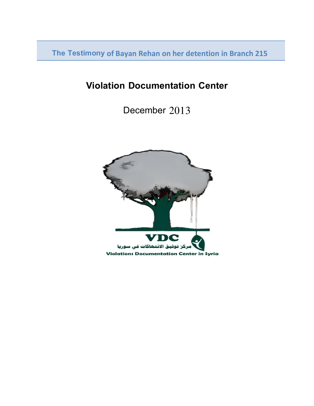**The Testimony of Bayan Rehan on her detention in Branch 215**

# **Violation Documentation Center**

December 2013

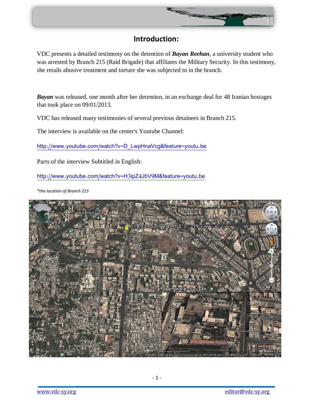

# **Introduction:**

VDC presents a detailed testimony on the detention of *Bayan Reehan*, a university student who was arrested by Branch 215 (Raid Brigade) that affiliates the Military Security. In this testimony, she retails abusive treatment and torture she was subjected to in the branch.

*Bayan* was released, one month after her detention, in an exchange deal for 48 Iranian hostages that took place on 09/01/2013.

VDC has released many testimonies of several previous detainees in Branch 215.

The interview is available on the center's Youtube Channel:

[http://www.youtube.com/watch?v=D\\_LwpHnaVcg&feature=youtu.be](http://www.youtube.com/watch?v=D_LwpHnaVcg&feature=youtu.be)

Parts of the interview Subtitled in English:

<http://www.youtube.com/watch?v=H3ipZ4JbV9M&feature=youtu.be>

*\*the location of Branch 215*

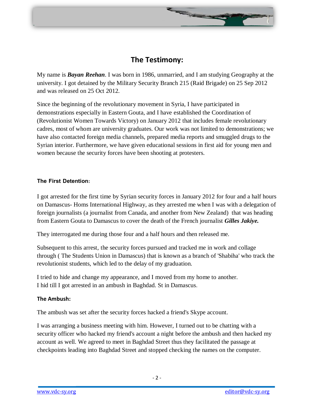# **The Testimony:**

**Survey of Street East** 

My name is *Bayan Reehan*. I was born in 1986, unmarried, and I am studying Geography at the university. I got detained by the Military Security Branch 215 (Raid Brigade) on 25 Sep 2012 and was released on 25 Oct 2012.

Since the beginning of the revolutionary movement in Syria, I have participated in demonstrations especially in Eastern Gouta, and I have established the Coordination of (Revolutionist Women Towards Victory) on January 2012 that includes female revolutionary cadres, most of whom are university graduates. Our work was not limited to demonstrations; we have also contacted foreign media channels, prepared media reports and smuggled drugs to the Syrian interior. Furthermore, we have given educational sessions in first aid for young men and women because the security forces have been shooting at protesters.

# **The First Detention:**

I got arrested for the first time by Syrian security forces in January 2012 for four and a half hours on Damascus- Homs International Highway, as they arrested me when I was with a delegation of foreign journalists (a journalist from Canada, and another from New Zealand) that was heading from Eastern Gouta to Damascus to cover the death of the French journalist *Gilles Jakiye.*

They interrogated me during those four and a half hours and then released me.

Subsequent to this arrest, the security forces pursued and tracked me in work and collage through ( The Students Union in Damascus) that is known as a branch of 'Shabiha' who track the revolutionist students, which led to the delay of my graduation.

I tried to hide and change my appearance, and I moved from my home to another. I hid till I got arrested in an ambush in Baghdad. St in Damascus.

# **The Ambush:**

The ambush was set after the security forces hacked a friend's Skype account.

I was arranging a business meeting with him. However, I turned out to be chatting with a security officer who hacked my friend's account a night before the ambush and then hacked my account as well. We agreed to meet in Baghdad Street thus they facilitated the passage at checkpoints leading into Baghdad Street and stopped checking the names on the computer.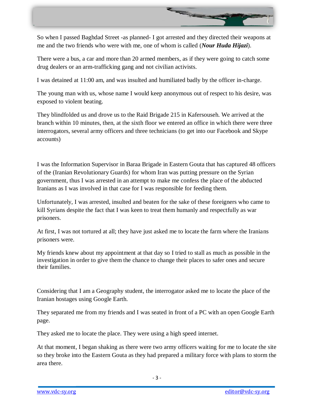

So when I passed Baghdad Street -as planned- I got arrested and they directed their weapons at me and the two friends who were with me, one of whom is called (*Nour Huda Hijazi*).

There were a bus, a car and more than 20 armed members, as if they were going to catch some drug dealers or an arm-trafficking gang and not civilian activists.

I was detained at 11:00 am, and was insulted and humiliated badly by the officer in-charge.

The young man with us, whose name I would keep anonymous out of respect to his desire, was exposed to violent beating.

They blindfolded us and drove us to the Raid Brigade 215 in Kafersouseh. We arrived at the branch within 10 minutes, then, at the sixth floor we entered an office in which there were three interrogators, several army officers and three technicians (to get into our Facebook and Skype accounts)

I was the Information Supervisor in Baraa Brigade in Eastern Gouta that has captured 48 officers of the (Iranian Revolutionary Guards) for whom Iran was putting pressure on the Syrian government, thus I was arrested in an attempt to make me confess the place of the abducted Iranians as I was involved in that case for I was responsible for feeding them.

Unfortunately, I was arrested, insulted and beaten for the sake of these foreigners who came to kill Syrians despite the fact that I was keen to treat them humanly and respectfully as war prisoners.

At first, I was not tortured at all; they have just asked me to locate the farm where the Iranians prisoners were.

My friends knew about my appointment at that day so I tried to stall as much as possible in the investigation in order to give them the chance to change their places to safer ones and secure their families.

Considering that I am a Geography student, the interrogator asked me to locate the place of the Iranian hostages using Google Earth.

They separated me from my friends and I was seated in front of a PC with an open Google Earth page.

They asked me to locate the place. They were using a high speed internet.

At that moment, I began shaking as there were two army officers waiting for me to locate the site so they broke into the Eastern Gouta as they had prepared a military force with plans to storm the area there.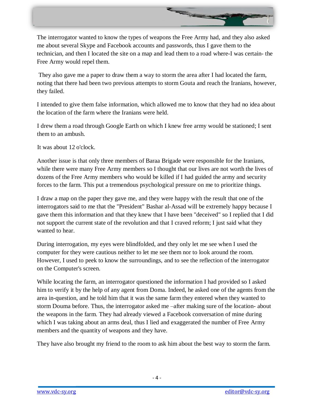

The interrogator wanted to know the types of weapons the Free Army had, and they also asked me about several Skype and Facebook accounts and passwords, thus I gave them to the technician, and then I located the site on a map and lead them to a road where-I was certain- the Free Army would repel them.

They also gave me a paper to draw them a way to storm the area after I had located the farm, noting that there had been two previous attempts to storm Gouta and reach the Iranians, however, they failed.

I intended to give them false information, which allowed me to know that they had no idea about the location of the farm where the Iranians were held.

I drew them a road through Google Earth on which I knew free army would be stationed; I sent them to an ambush.

It was about 12 o'clock.

Another issue is that only three members of Baraa Brigade were responsible for the Iranians, while there were many Free Army members so I thought that our lives are not worth the lives of dozens of the Free Army members who would be killed if I had guided the army and security forces to the farm. This put a tremendous psychological pressure on me to prioritize things.

I draw a map on the paper they gave me, and they were happy with the result that one of the interrogators said to me that the "President" Bashar al-Assad will be extremely happy because I gave them this information and that they knew that I have been "deceived" so I replied that I did not support the current state of the revolution and that I craved reform; I just said what they wanted to hear.

During interrogation, my eyes were blindfolded, and they only let me see when I used the computer for they were cautious neither to let me see them nor to look around the room. However, I used to peek to know the surroundings, and to see the reflection of the interrogator on the Computer's screen.

While locating the farm, an interrogator questioned the information I had provided so I asked him to verify it by the help of any agent from Doma. Indeed, he asked one of the agents from the area in-question, and he told him that it was the same farm they entered when they wanted to storm Douma before. Thus, the interrogator asked me –after making sure of the location- about the weapons in the farm. They had already viewed a Facebook conversation of mine during which I was taking about an arms deal, thus I lied and exaggerated the number of Free Army members and the quantity of weapons and they have.

They have also brought my friend to the room to ask him about the best way to storm the farm.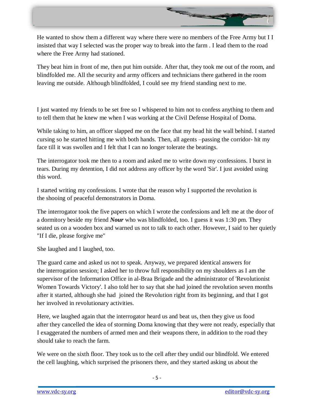

He wanted to show them a different way where there were no members of the Free Army but I I insisted that way I selected was the proper way to break into the farm . I lead them to the road where the Free Army had stationed.

They beat him in front of me, then put him outside. After that, they took me out of the room, and blindfolded me. All the security and army officers and technicians there gathered in the room leaving me outside. Although blindfolded, I could see my friend standing next to me.

I just wanted my friends to be set free so I whispered to him not to confess anything to them and to tell them that he knew me when I was working at the Civil Defense Hospital of Doma.

While taking to him, an officer slapped me on the face that my head hit the wall behind. I started cursing so he started hitting me with both hands. Then, all agents –passing the corridor- hit my face till it was swollen and I felt that I can no longer tolerate the beatings.

The interrogator took me then to a room and asked me to write down my confessions. I burst in tears. During my detention, I did not address any officer by the word 'Sir'. I just avoided using this word.

I started writing my confessions. I wrote that the reason why I supported the revolution is the shooing of peaceful demonstrators in Doma.

The interrogator took the five papers on which I wrote the confessions and left me at the door of a dormitory beside my friend *Nour* who was blindfolded, too. I guess it was 1:30 pm. They seated us on a wooden box and warned us not to talk to each other. However, I said to her quietly "If I die, please forgive me"

She laughed and I laughed, too.

The guard came and asked us not to speak. Anyway, we prepared identical answers for the interrogation session; I asked her to throw full responsibility on my shoulders as I am the supervisor of the Information Office in al-Braa Brigade and the administrator of 'Revolutionist Women Towards Victory'. I also told her to say that she had joined the revolution seven months after it started, although she had joined the Revolution right from its beginning, and that I got her involved in revolutionary activities.

Here, we laughed again that the interrogator heard us and beat us, then they give us food after they cancelled the idea of storming Doma knowing that they were not ready, especially that I exaggerated the numbers of armed men and their weapons there, in addition to the road they should take to reach the farm.

We were on the sixth floor. They took us to the cell after they undid our blindfold. We entered the cell laughing, which surprised the prisoners there, and they started asking us about the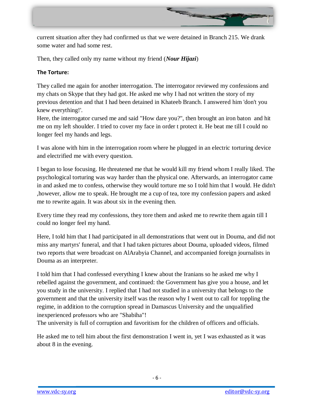

current situation after they had confirmed us that we were detained in Branch 215. We drank some water and had some rest.

Then, they called only my name without my friend (*Nour Hijazi*)

# **The Torture:**

They called me again for another interrogation. The interrogator reviewed my confessions and my chats on Skype that they had got. He asked me why I had not written the story of my previous detention and that I had been detained in Khateeb Branch. I answered him 'don't you knew everything!'.

Here, the interrogator cursed me and said "How dare you?", then brought an iron baton and hit me on my left shoulder. I tried to cover my face in order t protect it. He beat me till I could no longer feel my hands and legs.

I was alone with him in the interrogation room where he plugged in an electric torturing device and electrified me with every question.

I began to lose focusing. He threatened me that he would kill my friend whom I really liked. The psychological torturing was way harder than the physical one. Afterwards, an interrogator came in and asked me to confess, otherwise they would torture me so I told him that I would. He didn't ,however, allow me to speak. He brought me a cup of tea, tore my confession papers and asked me to rewrite again. It was about six in the evening then.

Every time they read my confessions, they tore them and asked me to rewrite them again till I could no longer feel my hand.

Here, I told him that I had participated in all demonstrations that went out in Douma, and did not miss any martyrs' funeral, and that I had taken pictures about Douma, uploaded videos, filmed two reports that were broadcast on AlArabyia Channel, and accompanied foreign journalists in Douma as an interpreter.

I told him that I had confessed everything I knew about the Iranians so he asked me why I rebelled against the government, and continued: the Government has give you a house, and let you study in the university. I replied that I had not studied in a university that belongs to the government and that the university itself was the reason why I went out to call for toppling the regime, in addition to the corruption spread in Damascus University and the unqualified inexperienced professors who are "Shabiha"!

The university is full of corruption and favoritism for the children of officers and officials.

He asked me to tell him about the first demonstration I went in, yet I was exhausted as it was about 8 in the evening.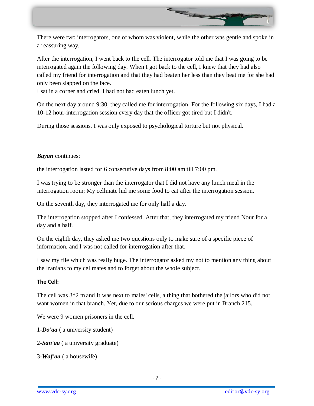

There were two interrogators, one of whom was violent, while the other was gentle and spoke in a reassuring way.

After the interrogation, I went back to the cell. The interrogator told me that I was going to be interrogated again the following day. When I got back to the cell, I knew that they had also called my friend for interrogation and that they had beaten her less than they beat me for she had only been slapped on the face.

I sat in a corner and cried. I had not had eaten lunch yet.

On the next day around 9:30, they called me for interrogation. For the following six days, I had a 10-12 hour-interrogation session every day that the officer got tired but I didn't.

During those sessions, I was only exposed to psychological torture but not physical.

#### *Bayan* continues:

the interrogation lasted for 6 consecutive days from 8:00 am till 7:00 pm.

I was trying to be stronger than the interrogator that I did not have any lunch meal in the interrogation room; My cellmate hid me some food to eat after the interrogation session.

On the seventh day, they interrogated me for only half a day.

The interrogation stopped after I confessed. After that, they interrogated my friend Nour for a day and a half.

On the eighth day, they asked me two questions only to make sure of a specific piece of information, and I was not called for interrogation after that.

I saw my file which was really huge. The interrogator asked my not to mention any thing about the Iranians to my cellmates and to forget about the whole subject.

#### **The Cell:**

The cell was 3\*2 mand It was next to males' cells, a thing that bothered the jailors who did not want women in that branch. Yet, due to our serious charges we were put in Branch 215.

We were 9 women prisoners in the cell.

1-*Do'aa* ( a university student)

2-*San'aa* ( a university graduate)

3-*Waf'aa* ( a housewife)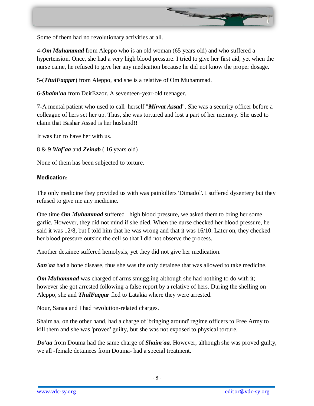

Some of them had no revolutionary activities at all.

4-*Om Muhammad* from Aleppo who is an old woman (65 years old) and who suffered a hypertension. Once, she had a very high blood pressure. I tried to give her first aid, yet when the nurse came, he refused to give her any medication because he did not know the proper dosage.

5-(*ThulFaqqar*) from Aleppo, and she is a relative of Om Muhammad.

6-*Shaim'aa* from DeirEzzor. A seventeen-year-old teenager.

7-A mental patient who used to call herself "*Mirvat Assad*". She was a security officer before a colleague of hers set her up. Thus, she was tortured and lost a part of her memory. She used to claim that Bashar Assad is her husband!!

It was fun to have her with us.

8 & 9 *Waf'aa* and *Zeinab* ( 16 years old)

None of them has been subjected to torture.

#### **Medication:**

The only medicine they provided us with was painkillers 'Dimadol'. I suffered dysentery but they refused to give me any medicine.

One time *Om Muhammad* suffered high blood pressure, we asked them to bring her some garlic. However, they did not mind if she died. When the nurse checked her blood pressure, he said it was 12/8, but I told him that he was wrong and that it was 16/10. Later on, they checked her blood pressure outside the cell so that I did not observe the process.

Another detainee suffered hemolysis, yet they did not give her medication.

*San'aa* had a bone disease, thus she was the only detainee that was allowed to take medicine.

*Om Muhammad* was charged of arms smuggling although she had nothing to do with it; however she got arrested following a false report by a relative of hers. During the shelling on Aleppo, she and *ThulFaqqar* fled to Latakia where they were arrested.

Nour, Sanaa and I had revolution-related charges.

Shaim'aa, on the other hand, had a charge of 'bringing around' regime officers to Free Army to kill them and she was 'proved' guilty, but she was not exposed to physical torture.

*Do'aa* from Douma had the same charge of *Shaim'aa*. However, although she was proved guilty, we all -female detainees from Douma- had a special treatment.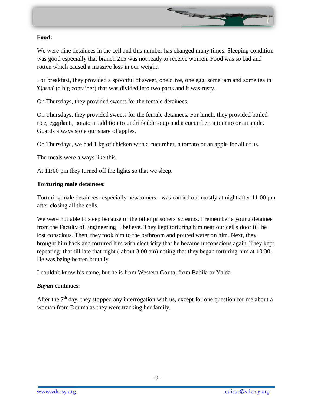

# **Food:**

We were nine detainees in the cell and this number has changed many times. Sleeping condition was good especially that branch 215 was not ready to receive women. Food was so bad and rotten which caused a massive loss in our weight.

For breakfast, they provided a spoonful of sweet, one olive, one egg, some jam and some tea in 'Qasaa' (a big container) that was divided into two parts and it was rusty.

On Thursdays, they provided sweets for the female detainees.

On Thursdays, they provided sweets for the female detainees. For lunch, they provided boiled rice, eggplant , potato in addition to undrinkable soup and a cucumber, a tomato or an apple. Guards always stole our share of apples.

On Thursdays, we had 1 kg of chicken with a cucumber, a tomato or an apple for all of us.

The meals were always like this.

At 11:00 pm they turned off the lights so that we sleep.

# **Torturing male detainees:**

Torturing male detainees- especially newcomers.- was carried out mostly at night after 11:00 pm after closing all the cells.

We were not able to sleep because of the other prisoners' screams. I remember a young detainee from the Faculty of Engineering I believe. They kept torturing him near our cell's door till he lost conscious. Then, they took him to the bathroom and poured water on him. Next, they brought him back and tortured him with electricity that he became unconscious again. They kept repeating that till late that night ( about 3:00 am) noting that they began torturing him at 10:30. He was being beaten brutally.

I couldn't know his name, but he is from Western Gouta; from Babila or Yalda.

# *Bayan* continues:

After the  $7<sup>th</sup>$  day, they stopped any interrogation with us, except for one question for me about a woman from Douma as they were tracking her family.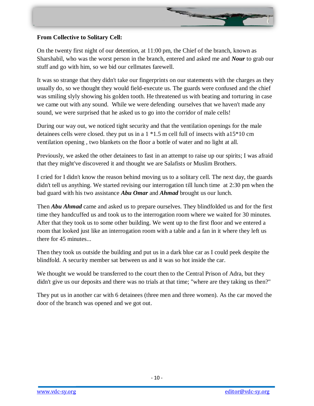

# **From Collective to Solitary Cell:**

On the twenty first night of our detention, at 11:00 pm, the Chief of the branch, known as Sharshabil, who was the worst person in the branch, entered and asked me and *Nour* to grab our stuff and go with him, so we bid our cellmates farewell.

It was so strange that they didn't take our fingerprints on our statements with the charges as they usually do, so we thought they would field-execute us. The guards were confused and the chief was smiling slyly showing his golden tooth. He threatened us with beating and torturing in case we came out with any sound. While we were defending ourselves that we haven't made any sound, we were surprised that he asked us to go into the corridor of male cells!

During our way out, we noticed tight security and that the ventilation openings for the male detainees cells were closed. they put us in a 1 \*1.5 m cell full of insects with a15\*10 cm ventilation opening , two blankets on the floor a bottle of water and no light at all.

Previously, we asked the other detainees to fast in an attempt to raise up our spirits; I was afraid that they might've discovered it and thought we are Salafists or Muslim Brothers.

I cried for I didn't know the reason behind moving us to a solitary cell. The next day, the guards didn't tell us anything. We started revising our interrogation till lunch time at 2:30 pm when the bad guard with his two assistance *Abu Omar* and *Ahmad* brought us our lunch.

Then *Abu Ahmad* came and asked us to prepare ourselves. They blindfolded us and for the first time they handcuffed us and took us to the interrogation room where we waited for 30 minutes. After that they took us to some other building. We went up to the first floor and we entered a room that looked just like an interrogation room with a table and a fan in it where they left us there for 45 minutes...

Then they took us outside the building and put us in a dark blue car as I could peek despite the blindfold. A security member sat between us and it was so hot inside the car.

We thought we would be transferred to the court then to the Central Prison of Adra, but they didn't give us our deposits and there was no trials at that time; "where are they taking us then?"

They put us in another car with 6 detainees (three men and three women). As the car moved the door of the branch was opened and we got out.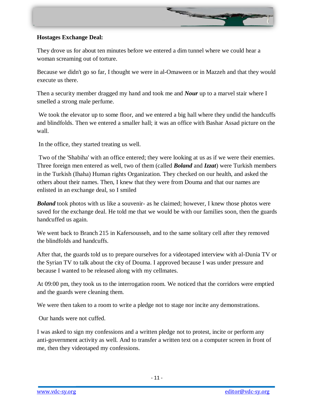# **Hostages Exchange Deal:**

They drove us for about ten minutes before we entered a dim tunnel where we could hear a woman screaming out of torture.

Because we didn't go so far, I thought we were in al-Omaween or in Mazzeh and that they would execute us there.

Then a security member dragged my hand and took me and *Nour* up to a marvel stair where I smelled a strong male perfume.

We took the elevator up to some floor, and we entered a big hall where they undid the handcuffs and blindfolds. Then we entered a smaller hall; it was an office with Bashar Assad picture on the wall.

In the office, they started treating us well.

Two of the 'Shabiha' with an office entered; they were looking at us as if we were their enemies. Three foreign men entered as well, two of them (called *Boland* and *Izzat*) were Turkish members in the Turkish (Ihaha) Human rights Organization. They checked on our health, and asked the others about their names. Then, I knew that they were from Douma and that our names are enlisted in an exchange deal, so I smiled

*Boland* took photos with us like a souvenir- as he claimed; however, I knew those photos were saved for the exchange deal. He told me that we would be with our families soon, then the guards handcuffed us again.

We went back to Branch 215 in Kafersousseh, and to the same solitary cell after they removed the blindfolds and handcuffs.

After that, the guards told us to prepare ourselves for a videotaped interview with al-Dunia TV or the Syrian TV to talk about the city of Douma. I approved because I was under pressure and because I wanted to be released along with my cellmates.

At 09:00 pm, they took us to the interrogation room. We noticed that the corridors were emptied and the guards were cleaning them.

We were then taken to a room to write a pledge not to stage nor incite any demonstrations.

Our hands were not cuffed.

I was asked to sign my confessions and a written pledge not to protest, incite or perform any anti-government activity as well. And to transfer a written text on a computer screen in front of me, then they videotaped my confessions.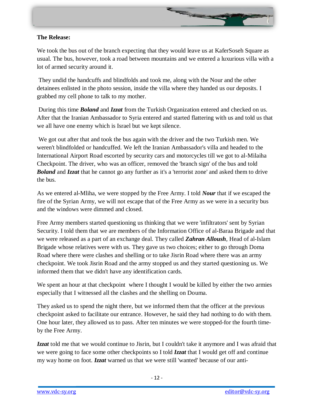

#### **The Release:**

We took the bus out of the branch expecting that they would leave us at KaferSoseh Square as usual. The bus, however, took a road between mountains and we entered a luxurious villa with a lot of armed security around it.

They undid the handcuffs and blindfolds and took me, along with the Nour and the other detainees enlisted in the photo session, inside the villa where they handed us our deposits. I grabbed my cell phone to talk to my mother.

During this time *Boland* and *Izzat* from the Turkish Organization entered and checked on us. After that the Iranian Ambassador to Syria entered and started flattering with us and told us that we all have one enemy which is Israel but we kept silence.

We got out after that and took the bus again with the driver and the two Turkish men. We weren't blindfolded or handcuffed. We left the Iranian Ambassador's villa and headed to the International Airport Road escorted by security cars and motorcycles till we got to al-Milaiha Checkpoint. The driver, who was an officer, removed the 'branch sign' of the bus and told *Boland* and *Izzat* that he cannot go any further as it's a 'terrorist zone' and asked them to drive the bus.

As we entered al-Mliha, we were stopped by the Free Army. I told *Nour* that if we escaped the fire of the Syrian Army, we will not escape that of the Free Army as we were in a security bus and the windows were dimmed and closed.

Free Army members started questioning us thinking that we were 'infiltrators' sent by Syrian Security. I told them that we are members of the Information Office of al-Baraa Brigade and that we were released as a part of an exchange deal. They called *Zahran Alloush*, Head of al-Islam Brigade whose relatives were with us. They gave us two choices; either to go through Doma Road where there were clashes and shelling or to take Jisrin Road where there was an army checkpoint. We took Jisrin Road and the army stopped us and they started questioning us. We informed them that we didn't have any identification cards.

We spent an hour at that checkpoint where I thought I would be killed by either the two armies especially that I witnessed all the clashes and the shelling on Douma.

They asked us to spend the night there, but we informed them that the officer at the previous checkpoint asked to facilitate our entrance. However, he said they had nothing to do with them. One hour later, they allowed us to pass. After ten minutes we were stopped-for the fourth timeby the Free Army.

*Izzat* told me that we would continue to Jisrin, but I couldn't take it anymore and I was afraid that we were going to face some other checkpoints so I told *Izzat* that I would get off and continue my way home on foot. *Izzat* warned us that we were still 'wanted' because of our anti-